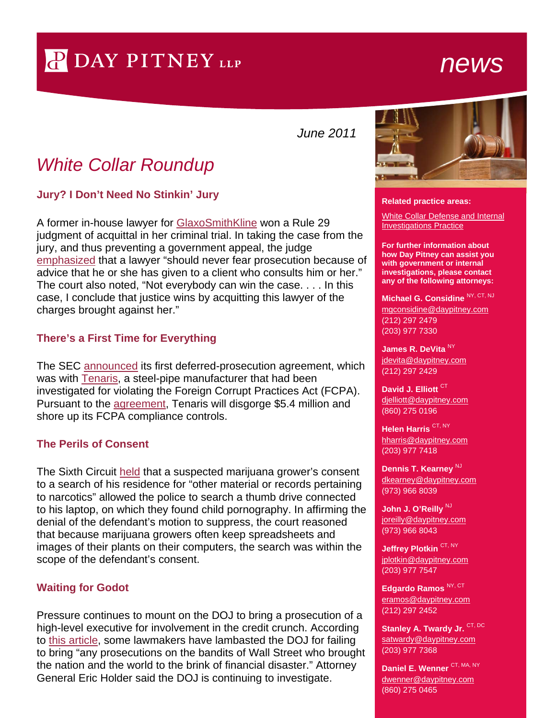# P DAY PITNEY LLP

## *news*

*June 2011*

### *White Collar Roundup*

**Jury? I Don't Need No Stinkin' Jury**

A former in-house lawyer for [GlaxoSmithKline](http://bit.ly/lx9lRY) won a Rule 29 judgment of acquittal in her criminal trial. In taking the case from the jury, and thus preventing a government appeal, the judge [emphasized](http://bit.ly/j1L9wZ) that a lawyer "should never fear prosecution because of advice that he or she has given to a client who consults him or her." The court also noted, "Not everybody can win the case. . . . In this case, I conclude that justice wins by acquitting this lawyer of the charges brought against her."

#### **There's a First Time for Everything**

The SEC [announced](http://1.usa.gov/jqwYdH) its first deferred-prosecution agreement, which was with [Tenaris,](http://bit.ly/mnslMN) a steel-pipe manufacturer that had been investigated for violating the Foreign Corrupt Practices Act (FCPA). Pursuant to the [agreement,](http://1.usa.gov/kgkMIp) Tenaris will disgorge \$5.4 million and shore up its FCPA compliance controls.

#### **The Perils of Consent**

The Sixth Circuit [held](http://1.usa.gov/kKllyM) that a suspected marijuana grower's consent to a search of his residence for "other material or records pertaining to narcotics" allowed the police to search a thumb drive connected to his laptop, on which they found child pornography. In affirming the denial of the defendant's motion to suppress, the court reasoned that because marijuana growers often keep spreadsheets and images of their plants on their computers, the search was within the scope of the defendant's consent.

#### **Waiting for Godot**

Pressure continues to mount on the DOJ to bring a prosecution of a high-level executive for involvement in the credit crunch. According to [this article,](http://bloom.bg/iyh4GV) some lawmakers have lambasted the DOJ for failing to bring "any prosecutions on the bandits of Wall Street who brought the nation and the world to the brink of financial disaster." Attorney General Eric Holder said the DOJ is continuing to investigate.



**Related practice areas:**

[White Collar Defense and Internal](http://www.daypitney.com/practices/practice-detail.aspx?pid=40) [Investigations Practice](http://www.daypitney.com/practices/practice-detail.aspx?pid=40)

**For further information about how Day Pitney can assist you with government or internal investigations, please contact any of the following attorneys:** 

#### **[Michael G. Considine](http://www.daypitney.com/people/people-detail.aspx?practice=&proID=80)** NY, CT, NJ

[mgconsidine@daypitney.com](mailto:mgconsidine@daypitney.com) (212) 297 2479 (203) 977 7330

**[James R. DeVita](http://www.daypitney.com/people/people-detail.aspx?practice=&proID=590)** NY [jdevita@daypitney.com](mailto:jdevita@daypitney.com) (212) 297 2429

**[David J. Elliott](http://www.daypitney.com/people/people-detail.aspx?practice=&proID=32)** CT [djelliott@daypitney.com](mailto:djelliott@daypitney.com) (860) 275 0196

**[Helen Harris](http://www.daypitney.com/people/people-detail.aspx?practice=&proID=168)** CT, NY [hharris@daypitney.com](mailto:hharris@daypitney.com) (203) 977 7418

**[Dennis T. Kearney](http://www.daypitney.com/people/people-detail.aspx?practice=&proID=316)** NJ [dkearney@daypitney.com](mailto:dkearney@daypitney.com) (973) 966 8039

John J. [O'Reilly](http://www.daypitney.com/people/people-detail.aspx?practice=&proID=355)<sup>NJ</sup> [joreilly@daypitney.com](mailto:joreilly@daypitney.com) (973) 966 8043

**[Jeffrey Plotkin](http://www.daypitney.com/people/people-detail.aspx?practice=&proID=364)** CT, NY iplotkin@daypitney.com (203) 977 7547

**[Edgardo Ramos](http://www.daypitney.com/people/people-detail.aspx?practice=&proID=129)** NY, CT [eramos@daypitney.com](mailto:eramos@daypitney.com) (212) 297 2452

**Stanley [A. Twardy Jr.](http://www.daypitney.com/people/people-detail.aspx?practice=&proID=73) CT, DC** [satwardy@daypitney.com](mailto:satwardy@daypitney.com) (203) 977 7368

**[Daniel E. Wenner](http://www.daypitney.com/people/people-detail.aspx?practice=&proID=519)** CT, MA, NY [dwenner@daypitney.com](mailto:dwenner@daypitney.com) (860) 275 0465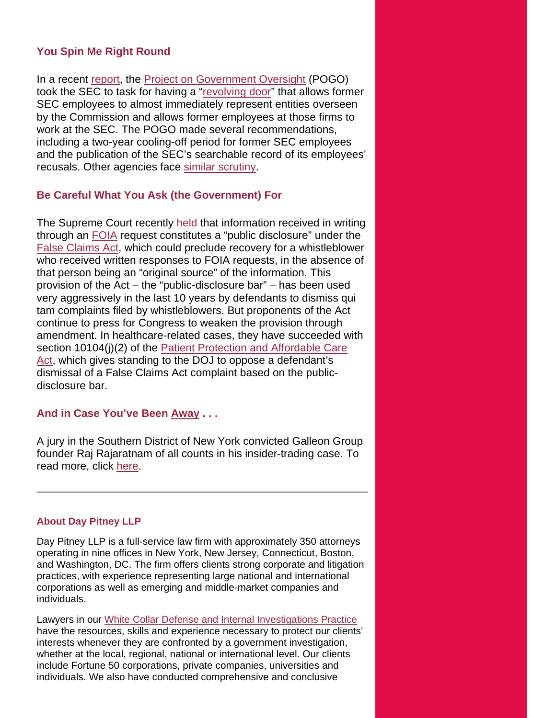#### **You Spin Me Right Round**

In a recent [report,](http://bit.ly/k5YoRj) the [Project on Government Oversight](http://bit.ly/jTcC99) (POGO) took the SEC to task for having a ["revolving door"](http://bit.ly/lreeyK) that allows former SEC employees to almost immediately represent entities overseen by the Commission and allows former employees at those firms to work at the SEC. The POGO made several recommendations, including a two-year cooling-off period for former SEC employees and the publication of the SEC's searchable record of its employees' recusals. Other agencies face [similar scrutiny.](http://lat.ms/mnen1F)

#### **Be Careful What You Ask (the Government) For**

The Supreme Court recently [held](http://bit.ly/lLKLxo) that information received in writing through an [FOIA](http://bit.ly/mhRfMH) request constitutes a "public disclosure" under the [False Claims Act,](http://bit.ly/mBn34U) which could preclude recovery for a whistleblower who received written responses to FOIA requests, in the absence of that person being an "original source" of the information. This provision of the Act – the "public-disclosure bar" – has been used very aggressively in the last 10 years by defendants to dismiss qui tam complaints filed by whistleblowers. But proponents of the Act continue to press for Congress to weaken the provision through amendment. In healthcare-related cases, they have succeeded with section 10104(j)(2) of the Patient Protection and Affordable Care [Act,](http://1.usa.gov/juCxP9) which gives standing to the DOJ to oppose a defendant's dismissal of a False Claims Act complaint based on the publicdisclosure bar.

#### **And in Case You've Been [Away](http://bit.ly/jjzyKl) . . .**

A jury in the Southern District of New York convicted Galleon Group founder Raj Rajaratnam of all counts in his insider-trading case. To read more, click [here.](http://bit.ly/l44wGl)

#### **About Day Pitney LLP**

Day Pitney LLP is a full-service law firm with approximately 350 attorneys operating in nine offices in New York, New Jersey, Connecticut, Boston, and Washington, DC. The firm offers clients strong corporate and litigation practices, with experience representing large national and international corporations as well as emerging and middle-market companies and individuals.

Lawyers in our [White Collar Defense and Internal Investigations Practice](http://www.daypitney.com/practices/practice-detail.aspx?pid=40) have the resources, skills and experience necessary to protect our clients' interests whenever they are confronted by a government investigation, whether at the local, regional, national or international level. Our clients include Fortune 50 corporations, private companies, universities and individuals. We also have conducted comprehensive and conclusive